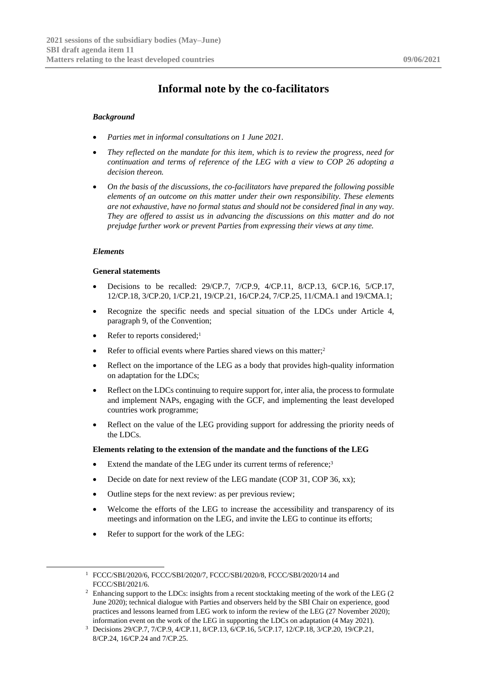# **Informal note by the co-facilitators**

## *Background*

- *Parties met in informal consultations on 1 June 2021.*
- *They reflected on the mandate for this item, which is to review the progress, need for continuation and terms of reference of the LEG with a view to COP 26 adopting a decision thereon.*
- *On the basis of the discussions, the co-facilitators have prepared the following possible elements of an outcome on this matter under their own responsibility. These elements are not exhaustive, have no formal status and should not be considered final in any way. They are offered to assist us in advancing the discussions on this matter and do not prejudge further work or prevent Parties from expressing their views at any time.*

### *Elements*

#### **General statements**

- Decisions to be recalled: 29/CP.7, 7/CP.9, 4/CP.11, 8/CP.13, 6/CP.16, 5/CP.17, 12/CP.18, 3/CP.20, 1/CP.21, 19/CP.21, 16/CP.24, 7/CP.25, 11/CMA.1 and 19/CMA.1;
- Recognize the specific needs and special situation of the LDCs under Article 4, paragraph 9, of the Convention;
- Refer to reports considered;<sup>1</sup>
- Refer to official events where Parties shared views on this matter;<sup>2</sup>
- Reflect on the importance of the LEG as a body that provides high-quality information on adaptation for the LDCs;
- Reflect on the LDCs continuing to require support for, inter alia, the process to formulate and implement NAPs, engaging with the GCF, and implementing the least developed countries work programme;
- Reflect on the value of the LEG providing support for addressing the priority needs of the LDCs.

### **Elements relating to the extension of the mandate and the functions of the LEG**

- Extend the mandate of the LEG under its current terms of reference:<sup>3</sup>
- Decide on date for next review of the LEG mandate (COP 31, COP 36, xx);
- Outline steps for the next review: as per previous review;
- Welcome the efforts of the LEG to increase the accessibility and transparency of its meetings and information on the LEG, and invite the LEG to continue its efforts;
- Refer to support for the work of the LEG:

<sup>1</sup> FCCC/SBI/2020/6, FCCC/SBI/2020/7, FCCC/SBI/2020/8, FCCC/SBI/2020/14 and FCCC/SBI/2021/6.

<sup>&</sup>lt;sup>2</sup> Enhancing support to the LDCs: insights from a recent stocktaking meeting of the work of the LEG (2 June 2020); technical dialogue with Parties and observers held by the SBI Chair on experience, good practices and lessons learned from LEG work to inform the review of the LEG (27 November 2020); information event on the work of the LEG in supporting the LDCs on adaptation (4 May 2021).

<sup>3</sup> Decisions 29/CP.7, 7/CP.9, 4/CP.11, 8/CP.13, 6/CP.16, 5/CP.17, 12/CP.18, 3/CP.20, 19/CP.21, 8/CP.24, 16/CP.24 and 7/CP.25.